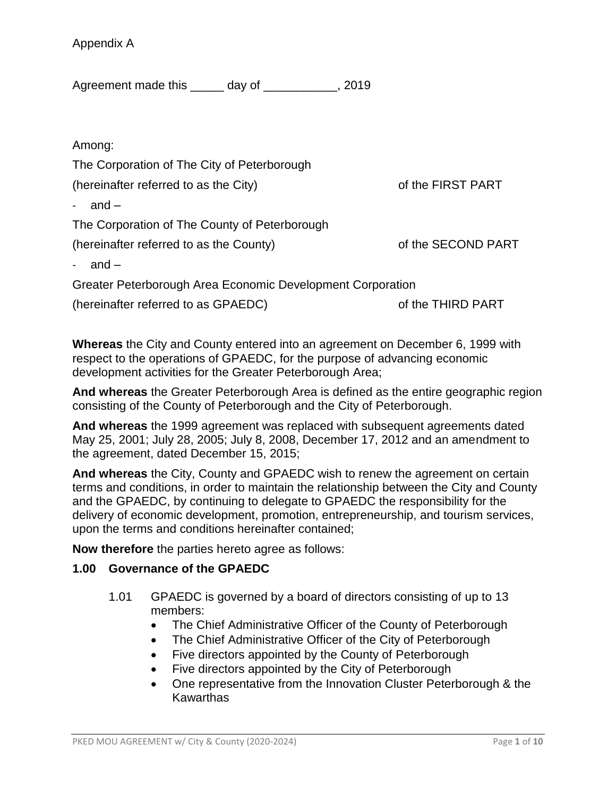Appendix A

Agreement made this \_\_\_\_\_ day of \_\_\_\_\_\_\_\_\_\_\_, 2019

Among:

The Corporation of The City of Peterborough

(hereinafter referred to as the City) of the FIRST PART

 $and -$ 

The Corporation of The County of Peterborough

(hereinafter referred to as the County) of the SECOND PART

- and –

Greater Peterborough Area Economic Development Corporation

(hereinafter referred to as GPAEDC) of the THIRD PART

**Whereas** the City and County entered into an agreement on December 6, 1999 with respect to the operations of GPAEDC, for the purpose of advancing economic development activities for the Greater Peterborough Area;

**And whereas** the Greater Peterborough Area is defined as the entire geographic region consisting of the County of Peterborough and the City of Peterborough.

**And whereas** the 1999 agreement was replaced with subsequent agreements dated May 25, 2001; July 28, 2005; July 8, 2008, December 17, 2012 and an amendment to the agreement, dated December 15, 2015;

**And whereas** the City, County and GPAEDC wish to renew the agreement on certain terms and conditions, in order to maintain the relationship between the City and County and the GPAEDC, by continuing to delegate to GPAEDC the responsibility for the delivery of economic development, promotion, entrepreneurship, and tourism services, upon the terms and conditions hereinafter contained;

**Now therefore** the parties hereto agree as follows:

#### **1.00 Governance of the GPAEDC**

- 1.01 GPAEDC is governed by a board of directors consisting of up to 13 members:
	- The Chief Administrative Officer of the County of Peterborough
	- The Chief Administrative Officer of the City of Peterborough
	- Five directors appointed by the County of Peterborough
	- Five directors appointed by the City of Peterborough
	- One representative from the Innovation Cluster Peterborough & the Kawarthas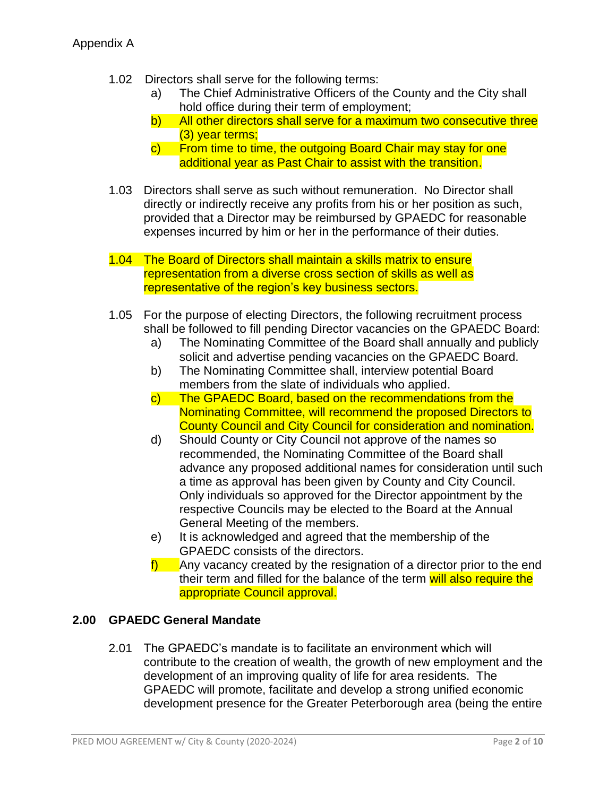- 1.02 Directors shall serve for the following terms:
	- a) The Chief Administrative Officers of the County and the City shall hold office during their term of employment;
	- b) All other directors shall serve for a maximum two consecutive three (3) year terms;
	- c) From time to time, the outgoing Board Chair may stay for one additional year as Past Chair to assist with the transition.
- 1.03 Directors shall serve as such without remuneration. No Director shall directly or indirectly receive any profits from his or her position as such, provided that a Director may be reimbursed by GPAEDC for reasonable expenses incurred by him or her in the performance of their duties.
- 1.04 The Board of Directors shall maintain a skills matrix to ensure representation from a diverse cross section of skills as well as representative of the region's key business sectors.
- 1.05 For the purpose of electing Directors, the following recruitment process shall be followed to fill pending Director vacancies on the GPAEDC Board:
	- a) The Nominating Committee of the Board shall annually and publicly solicit and advertise pending vacancies on the GPAEDC Board.
	- b) The Nominating Committee shall, interview potential Board members from the slate of individuals who applied.
	- c) The GPAEDC Board, based on the recommendations from the Nominating Committee, will recommend the proposed Directors to County Council and City Council for consideration and nomination.
	- d) Should County or City Council not approve of the names so recommended, the Nominating Committee of the Board shall advance any proposed additional names for consideration until such a time as approval has been given by County and City Council. Only individuals so approved for the Director appointment by the respective Councils may be elected to the Board at the Annual General Meeting of the members.
	- e) It is acknowledged and agreed that the membership of the GPAEDC consists of the directors.
	- $f$ ) Any vacancy created by the resignation of a director prior to the end their term and filled for the balance of the term will also require the appropriate Council approval.

## **2.00 GPAEDC General Mandate**

2.01 The GPAEDC's mandate is to facilitate an environment which will contribute to the creation of wealth, the growth of new employment and the development of an improving quality of life for area residents. The GPAEDC will promote, facilitate and develop a strong unified economic development presence for the Greater Peterborough area (being the entire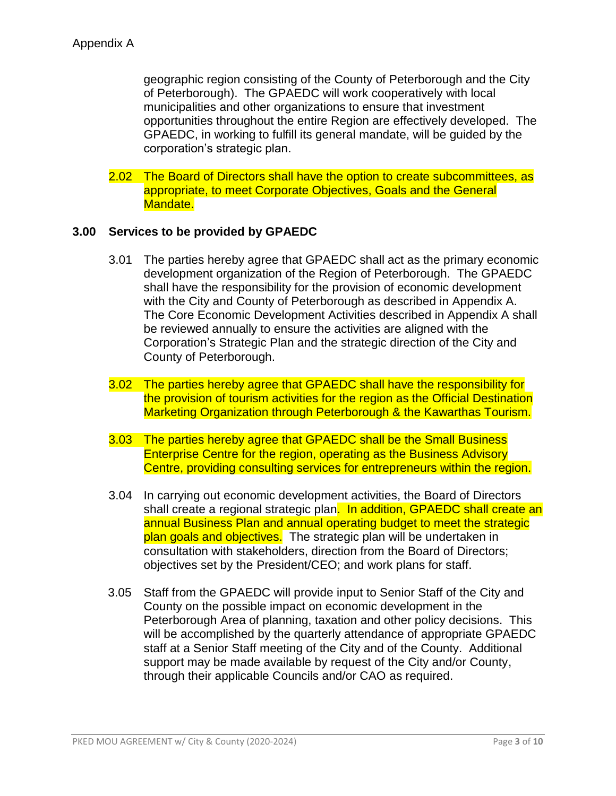geographic region consisting of the County of Peterborough and the City of Peterborough). The GPAEDC will work cooperatively with local municipalities and other organizations to ensure that investment opportunities throughout the entire Region are effectively developed. The GPAEDC, in working to fulfill its general mandate, will be guided by the corporation's strategic plan.

2.02 The Board of Directors shall have the option to create subcommittees, as appropriate, to meet Corporate Objectives, Goals and the General Mandate.

#### **3.00 Services to be provided by GPAEDC**

- 3.01 The parties hereby agree that GPAEDC shall act as the primary economic development organization of the Region of Peterborough. The GPAEDC shall have the responsibility for the provision of economic development with the City and County of Peterborough as described in Appendix A. The Core Economic Development Activities described in Appendix A shall be reviewed annually to ensure the activities are aligned with the Corporation's Strategic Plan and the strategic direction of the City and County of Peterborough.
- 3.02 The parties hereby agree that GPAEDC shall have the responsibility for the provision of tourism activities for the region as the Official Destination Marketing Organization through Peterborough & the Kawarthas Tourism.
- 3.03 The parties hereby agree that GPAEDC shall be the Small Business Enterprise Centre for the region, operating as the Business Advisory Centre, providing consulting services for entrepreneurs within the region.
- 3.04 In carrying out economic development activities, the Board of Directors shall create a regional strategic plan. In addition, GPAEDC shall create an annual Business Plan and annual operating budget to meet the strategic plan goals and objectives. The strategic plan will be undertaken in consultation with stakeholders, direction from the Board of Directors; objectives set by the President/CEO; and work plans for staff.
- 3.05 Staff from the GPAEDC will provide input to Senior Staff of the City and County on the possible impact on economic development in the Peterborough Area of planning, taxation and other policy decisions. This will be accomplished by the quarterly attendance of appropriate GPAEDC staff at a Senior Staff meeting of the City and of the County. Additional support may be made available by request of the City and/or County, through their applicable Councils and/or CAO as required.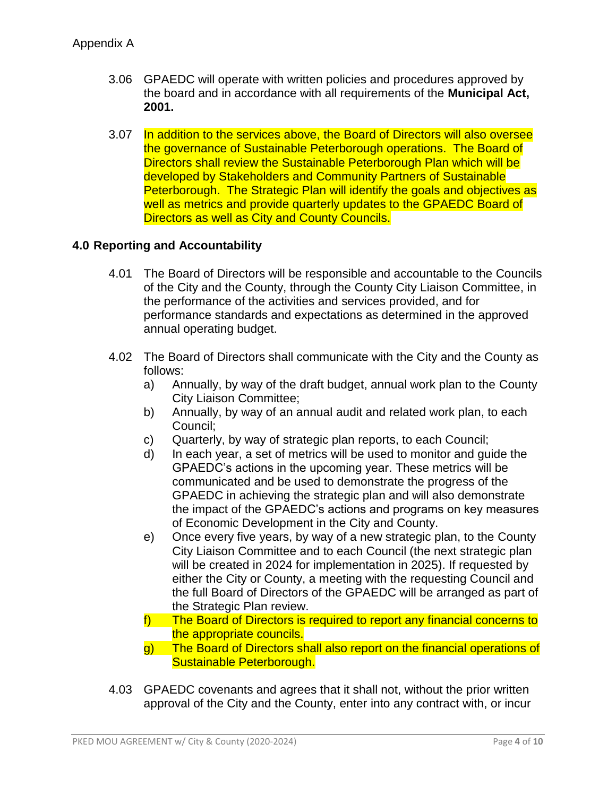- 3.06 GPAEDC will operate with written policies and procedures approved by the board and in accordance with all requirements of the **Municipal Act, 2001.**
- 3.07 In addition to the services above, the Board of Directors will also oversee the governance of Sustainable Peterborough operations. The Board of Directors shall review the Sustainable Peterborough Plan which will be developed by Stakeholders and Community Partners of Sustainable Peterborough. The Strategic Plan will identify the goals and objectives as well as metrics and provide quarterly updates to the GPAEDC Board of Directors as well as City and County Councils.

### **4.0 Reporting and Accountability**

- 4.01 The Board of Directors will be responsible and accountable to the Councils of the City and the County, through the County City Liaison Committee, in the performance of the activities and services provided, and for performance standards and expectations as determined in the approved annual operating budget.
- 4.02 The Board of Directors shall communicate with the City and the County as follows:
	- a) Annually, by way of the draft budget, annual work plan to the County City Liaison Committee;
	- b) Annually, by way of an annual audit and related work plan, to each Council;
	- c) Quarterly, by way of strategic plan reports, to each Council;
	- d) In each year, a set of metrics will be used to monitor and guide the GPAEDC's actions in the upcoming year. These metrics will be communicated and be used to demonstrate the progress of the GPAEDC in achieving the strategic plan and will also demonstrate the impact of the GPAEDC's actions and programs on key measures of Economic Development in the City and County.
	- e) Once every five years, by way of a new strategic plan, to the County City Liaison Committee and to each Council (the next strategic plan will be created in 2024 for implementation in 2025). If requested by either the City or County, a meeting with the requesting Council and the full Board of Directors of the GPAEDC will be arranged as part of the Strategic Plan review.
	- f) The Board of Directors is required to report any financial concerns to the appropriate councils.
	- g) The Board of Directors shall also report on the financial operations of Sustainable Peterborough.
- 4.03 GPAEDC covenants and agrees that it shall not, without the prior written approval of the City and the County, enter into any contract with, or incur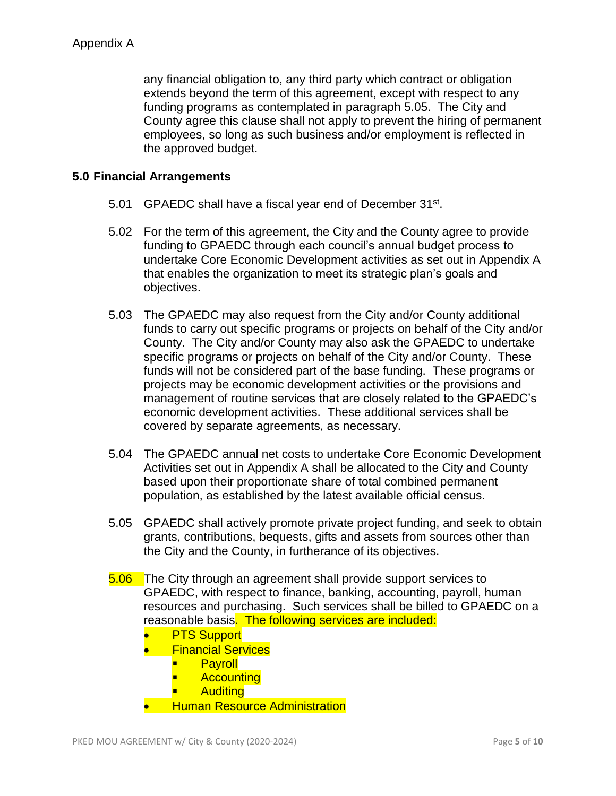any financial obligation to, any third party which contract or obligation extends beyond the term of this agreement, except with respect to any funding programs as contemplated in paragraph 5.05. The City and County agree this clause shall not apply to prevent the hiring of permanent employees, so long as such business and/or employment is reflected in the approved budget.

### **5.0 Financial Arrangements**

- 5.01 GPAEDC shall have a fiscal year end of December 31st.
- 5.02 For the term of this agreement, the City and the County agree to provide funding to GPAEDC through each council's annual budget process to undertake Core Economic Development activities as set out in Appendix A that enables the organization to meet its strategic plan's goals and objectives.
- 5.03 The GPAEDC may also request from the City and/or County additional funds to carry out specific programs or projects on behalf of the City and/or County. The City and/or County may also ask the GPAEDC to undertake specific programs or projects on behalf of the City and/or County. These funds will not be considered part of the base funding. These programs or projects may be economic development activities or the provisions and management of routine services that are closely related to the GPAEDC's economic development activities. These additional services shall be covered by separate agreements, as necessary.
- 5.04 The GPAEDC annual net costs to undertake Core Economic Development Activities set out in Appendix A shall be allocated to the City and County based upon their proportionate share of total combined permanent population, as established by the latest available official census.
- 5.05 GPAEDC shall actively promote private project funding, and seek to obtain grants, contributions, bequests, gifts and assets from sources other than the City and the County, in furtherance of its objectives.
- 5.06 The City through an agreement shall provide support services to GPAEDC, with respect to finance, banking, accounting, payroll, human resources and purchasing. Such services shall be billed to GPAEDC on a reasonable basis. The following services are included:
	- PTS Support
	- **•** Financial Services
		- **Payroll**
		- **Accounting**
		- **Auditing**
	- **Human Resource Administration**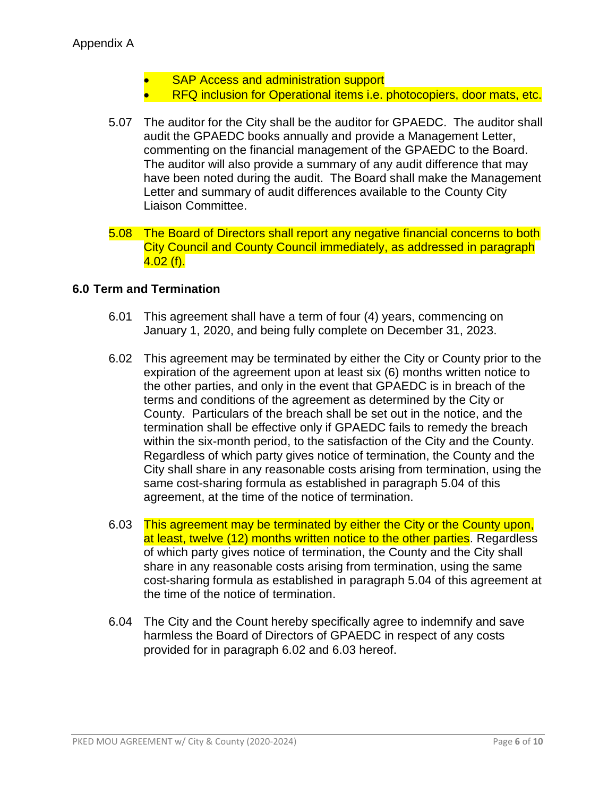- SAP Access and administration support
- RFQ inclusion for Operational items i.e. photocopiers, door mats, etc.
- 5.07 The auditor for the City shall be the auditor for GPAEDC. The auditor shall audit the GPAEDC books annually and provide a Management Letter, commenting on the financial management of the GPAEDC to the Board. The auditor will also provide a summary of any audit difference that may have been noted during the audit. The Board shall make the Management Letter and summary of audit differences available to the County City Liaison Committee.
- 5.08 The Board of Directors shall report any negative financial concerns to both City Council and County Council immediately, as addressed in paragraph  $4.02$  (f).

### **6.0 Term and Termination**

- 6.01 This agreement shall have a term of four (4) years, commencing on January 1, 2020, and being fully complete on December 31, 2023.
- 6.02 This agreement may be terminated by either the City or County prior to the expiration of the agreement upon at least six (6) months written notice to the other parties, and only in the event that GPAEDC is in breach of the terms and conditions of the agreement as determined by the City or County. Particulars of the breach shall be set out in the notice, and the termination shall be effective only if GPAEDC fails to remedy the breach within the six-month period, to the satisfaction of the City and the County. Regardless of which party gives notice of termination, the County and the City shall share in any reasonable costs arising from termination, using the same cost-sharing formula as established in paragraph 5.04 of this agreement, at the time of the notice of termination.
- 6.03 This agreement may be terminated by either the City or the County upon, at least, twelve (12) months written notice to the other parties. Regardless of which party gives notice of termination, the County and the City shall share in any reasonable costs arising from termination, using the same cost-sharing formula as established in paragraph 5.04 of this agreement at the time of the notice of termination.
- 6.04 The City and the Count hereby specifically agree to indemnify and save harmless the Board of Directors of GPAEDC in respect of any costs provided for in paragraph 6.02 and 6.03 hereof.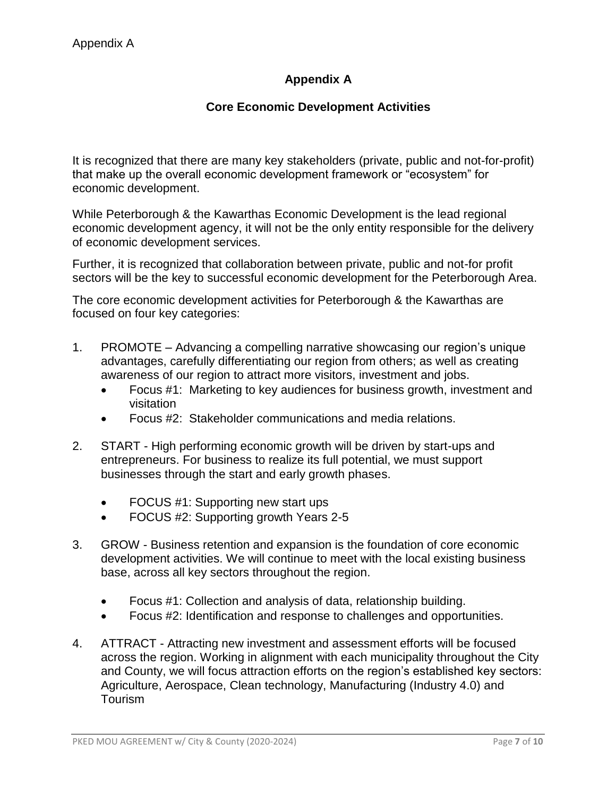# **Appendix A**

# **Core Economic Development Activities**

It is recognized that there are many key stakeholders (private, public and not-for-profit) that make up the overall economic development framework or "ecosystem" for economic development.

While Peterborough & the Kawarthas Economic Development is the lead regional economic development agency, it will not be the only entity responsible for the delivery of economic development services.

Further, it is recognized that collaboration between private, public and not-for profit sectors will be the key to successful economic development for the Peterborough Area.

The core economic development activities for Peterborough & the Kawarthas are focused on four key categories:

- 1. PROMOTE Advancing a compelling narrative showcasing our region's unique advantages, carefully differentiating our region from others; as well as creating awareness of our region to attract more visitors, investment and jobs.
	- Focus #1: Marketing to key audiences for business growth, investment and visitation
	- Focus #2: Stakeholder communications and media relations.
- 2. START High performing economic growth will be driven by start-ups and entrepreneurs. For business to realize its full potential, we must support businesses through the start and early growth phases.
	- FOCUS #1: Supporting new start ups
	- FOCUS #2: Supporting growth Years 2-5
- 3. GROW Business retention and expansion is the foundation of core economic development activities. We will continue to meet with the local existing business base, across all key sectors throughout the region.
	- Focus #1: Collection and analysis of data, relationship building.
	- Focus #2: Identification and response to challenges and opportunities.
- 4. ATTRACT Attracting new investment and assessment efforts will be focused across the region. Working in alignment with each municipality throughout the City and County, we will focus attraction efforts on the region's established key sectors: Agriculture, Aerospace, Clean technology, Manufacturing (Industry 4.0) and Tourism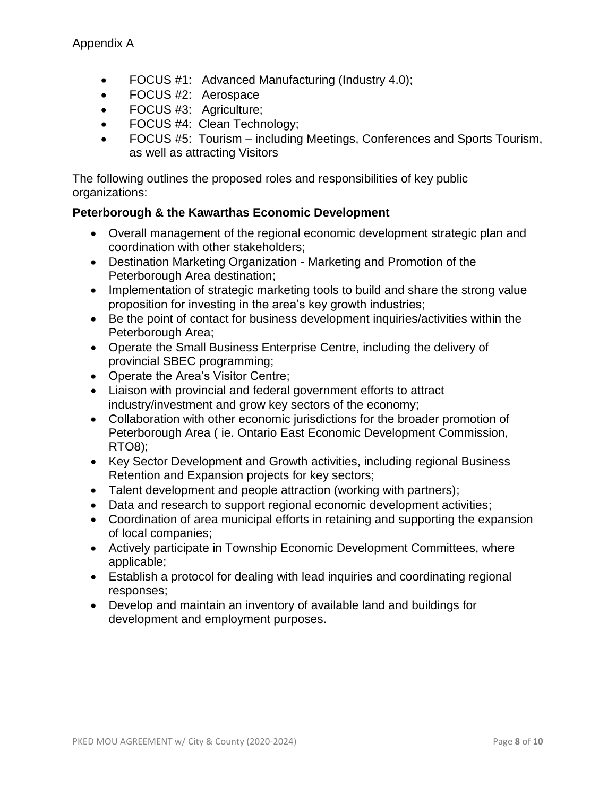- FOCUS #1: Advanced Manufacturing (Industry 4.0);
- FOCUS #2: Aerospace
- FOCUS #3: Agriculture;
- FOCUS #4: Clean Technology;
- FOCUS #5: Tourism including Meetings, Conferences and Sports Tourism, as well as attracting Visitors

The following outlines the proposed roles and responsibilities of key public organizations:

### **Peterborough & the Kawarthas Economic Development**

- Overall management of the regional economic development strategic plan and coordination with other stakeholders;
- Destination Marketing Organization Marketing and Promotion of the Peterborough Area destination;
- Implementation of strategic marketing tools to build and share the strong value proposition for investing in the area's key growth industries;
- Be the point of contact for business development inquiries/activities within the Peterborough Area;
- Operate the Small Business Enterprise Centre, including the delivery of provincial SBEC programming;
- Operate the Area's Visitor Centre;
- Liaison with provincial and federal government efforts to attract industry/investment and grow key sectors of the economy;
- Collaboration with other economic jurisdictions for the broader promotion of Peterborough Area ( ie. Ontario East Economic Development Commission, RTO8);
- Key Sector Development and Growth activities, including regional Business Retention and Expansion projects for key sectors;
- Talent development and people attraction (working with partners);
- Data and research to support regional economic development activities;
- Coordination of area municipal efforts in retaining and supporting the expansion of local companies;
- Actively participate in Township Economic Development Committees, where applicable;
- Establish a protocol for dealing with lead inquiries and coordinating regional responses;
- Develop and maintain an inventory of available land and buildings for development and employment purposes.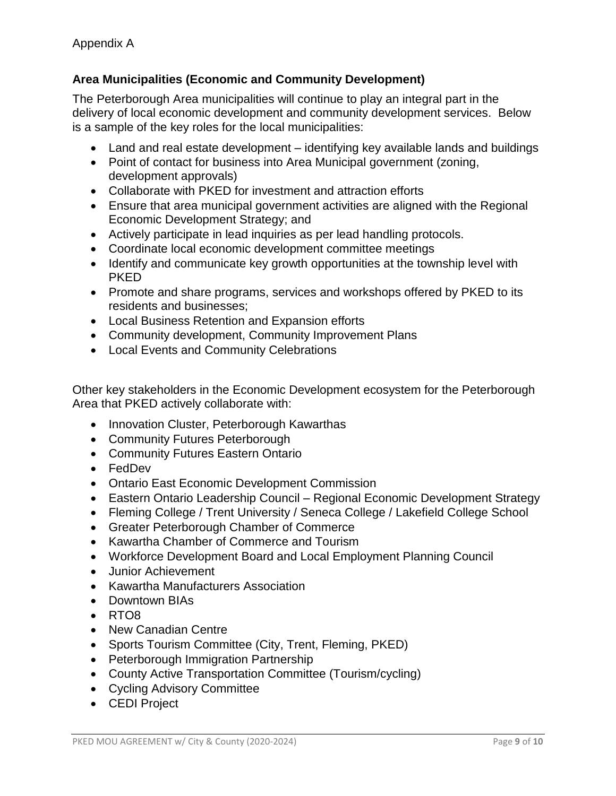## **Area Municipalities (Economic and Community Development)**

The Peterborough Area municipalities will continue to play an integral part in the delivery of local economic development and community development services. Below is a sample of the key roles for the local municipalities:

- Land and real estate development identifying key available lands and buildings
- Point of contact for business into Area Municipal government (zoning, development approvals)
- Collaborate with PKED for investment and attraction efforts
- Ensure that area municipal government activities are aligned with the Regional Economic Development Strategy; and
- Actively participate in lead inquiries as per lead handling protocols.
- Coordinate local economic development committee meetings
- Identify and communicate key growth opportunities at the township level with PKED
- Promote and share programs, services and workshops offered by PKED to its residents and businesses;
- Local Business Retention and Expansion efforts
- Community development, Community Improvement Plans
- Local Events and Community Celebrations

Other key stakeholders in the Economic Development ecosystem for the Peterborough Area that PKED actively collaborate with:

- Innovation Cluster, Peterborough Kawarthas
- Community Futures Peterborough
- Community Futures Eastern Ontario
- FedDev
- Ontario East Economic Development Commission
- Eastern Ontario Leadership Council Regional Economic Development Strategy
- Fleming College / Trent University / Seneca College / Lakefield College School
- Greater Peterborough Chamber of Commerce
- Kawartha Chamber of Commerce and Tourism
- Workforce Development Board and Local Employment Planning Council
- **•** Junior Achievement
- Kawartha Manufacturers Association
- Downtown BIAs
- RTO8
- New Canadian Centre
- Sports Tourism Committee (City, Trent, Fleming, PKED)
- Peterborough Immigration Partnership
- County Active Transportation Committee (Tourism/cycling)
- Cycling Advisory Committee
- CEDI Project